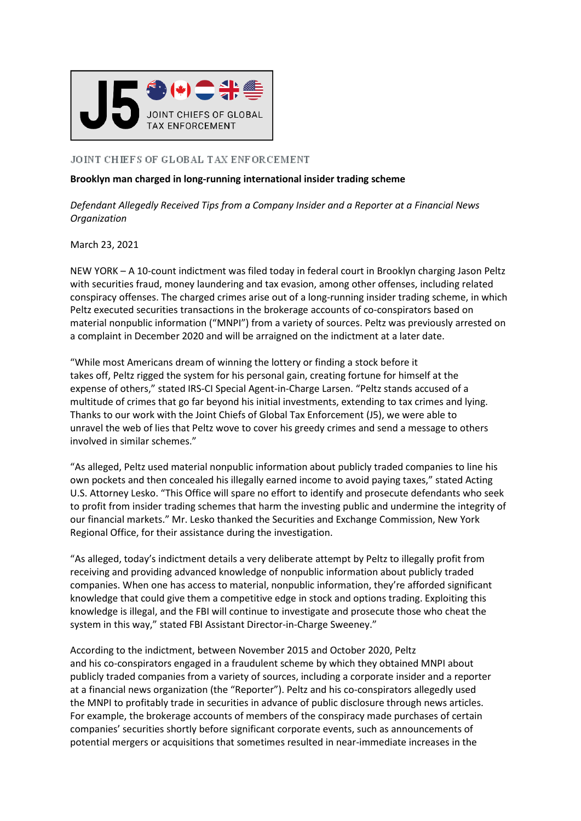

## JOINT CHIEFS OF GLOBAL TAX ENFORCEMENT

## **Brooklyn man charged in long-running international insider trading scheme**

*Defendant Allegedly Received Tips from a Company Insider and a Reporter at a Financial News Organization*

March 23, 2021

NEW YORK – A 10-count indictment was filed today in federal court in Brooklyn charging Jason Peltz with securities fraud, money laundering and tax evasion, among other offenses, including related conspiracy offenses. The charged crimes arise out of a long-running insider trading scheme, in which Peltz executed securities transactions in the brokerage accounts of co-conspirators based on material nonpublic information ("MNPI") from a variety of sources. Peltz was previously arrested on a complaint in December 2020 and will be arraigned on the indictment at a later date.

"While most Americans dream of winning the lottery or finding a stock before it takes off, Peltz rigged the system for his personal gain, creating fortune for himself at the expense of others," stated IRS-CI Special Agent-in-Charge Larsen. "Peltz stands accused of a multitude of crimes that go far beyond his initial investments, extending to tax crimes and lying. Thanks to our work with the Joint Chiefs of Global Tax Enforcement (J5), we were able to unravel the web of lies that Peltz wove to cover his greedy crimes and send a message to others involved in similar schemes."

"As alleged, Peltz used material nonpublic information about publicly traded companies to line his own pockets and then concealed his illegally earned income to avoid paying taxes," stated Acting U.S. Attorney Lesko. "This Office will spare no effort to identify and prosecute defendants who seek to profit from insider trading schemes that harm the investing public and undermine the integrity of our financial markets." Mr. Lesko thanked the Securities and Exchange Commission, New York Regional Office, for their assistance during the investigation.

"As alleged, today's indictment details a very deliberate attempt by Peltz to illegally profit from receiving and providing advanced knowledge of nonpublic information about publicly traded companies. When one has access to material, nonpublic information, they're afforded significant knowledge that could give them a competitive edge in stock and options trading. Exploiting this knowledge is illegal, and the FBI will continue to investigate and prosecute those who cheat the system in this way," stated FBI Assistant Director-in-Charge Sweeney."

According to the indictment, between November 2015 and October 2020, Peltz and his co-conspirators engaged in a fraudulent scheme by which they obtained MNPI about publicly traded companies from a variety of sources, including a corporate insider and a reporter at a financial news organization (the "Reporter"). Peltz and his co-conspirators allegedly used the MNPI to profitably trade in securities in advance of public disclosure through news articles. For example, the brokerage accounts of members of the conspiracy made purchases of certain companies' securities shortly before significant corporate events, such as announcements of potential mergers or acquisitions that sometimes resulted in near-immediate increases in the